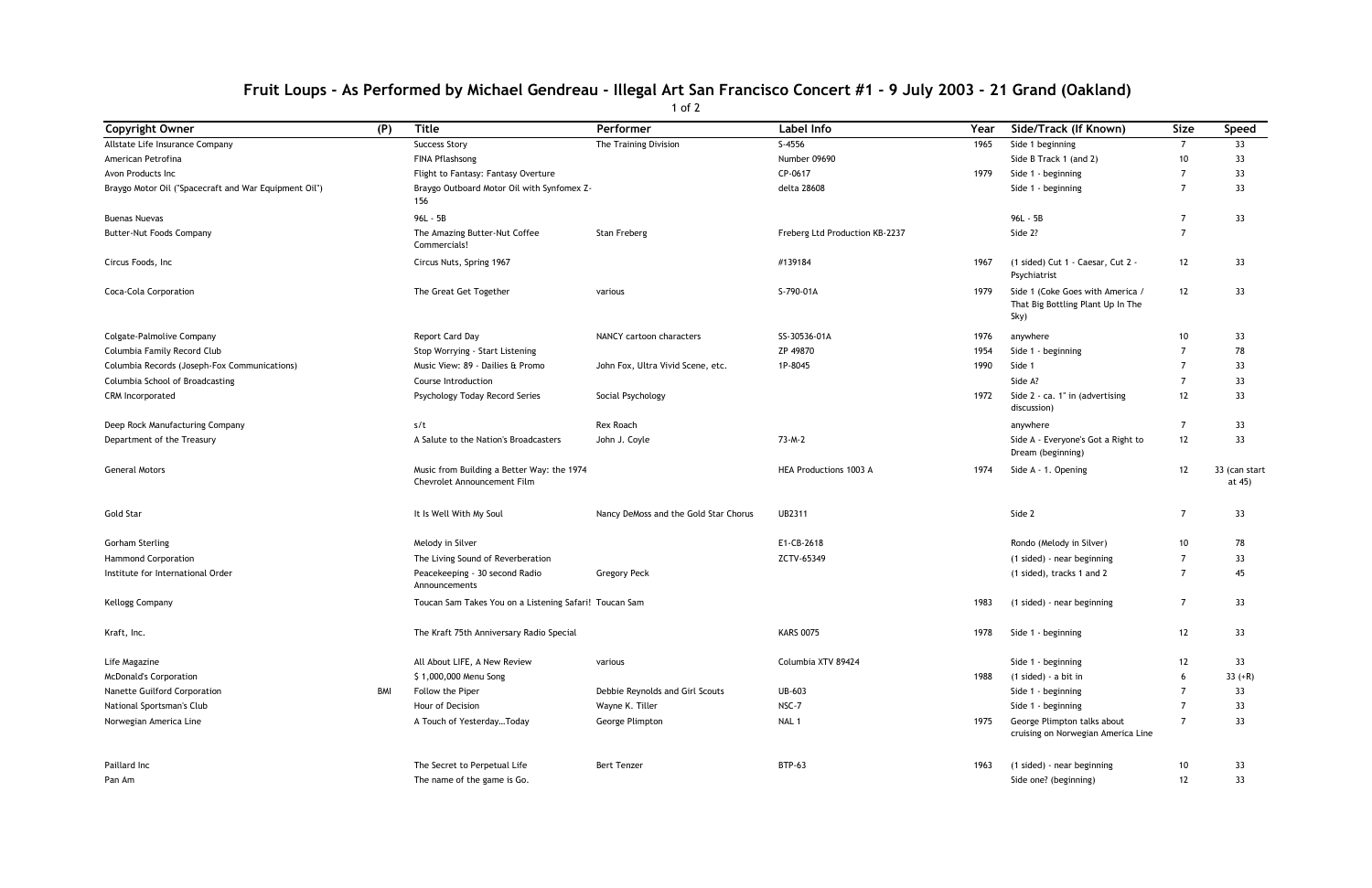## **Fruit Loups - As Performed by Michael Gendreau - Illegal Art San Francisco Concert #1 - 9 July 2003 - 21 Grand (Oakland)**

1 of 2

| <b>Copyright Owner</b>                                | (P) | <b>Title</b>                                                              | Performer                             | Label Info                     | Year | Side/Track (If Known)                                                         | <b>Size</b>    | Speed                |
|-------------------------------------------------------|-----|---------------------------------------------------------------------------|---------------------------------------|--------------------------------|------|-------------------------------------------------------------------------------|----------------|----------------------|
| Allstate Life Insurance Company                       |     | <b>Success Story</b>                                                      | The Training Division                 | $S-4556$                       | 1965 | Side 1 beginning                                                              | 7              | 33                   |
| American Petrofina                                    |     | FINA Pflashsong                                                           |                                       | Number 09690                   |      | Side B Track 1 (and 2)                                                        | 10             | 33                   |
| Avon Products Inc                                     |     | Flight to Fantasy: Fantasy Overture                                       |                                       | CP-0617                        | 1979 | Side 1 - beginning                                                            | 7              | 33                   |
| Braygo Motor Oil ("Spacecraft and War Equipment Oil") |     | Braygo Outboard Motor Oil with Synfomex Z-<br>156                         |                                       | delta 28608                    |      | Side 1 - beginning                                                            | $\overline{7}$ | 33                   |
| <b>Buenas Nuevas</b>                                  |     | 96L - 5B                                                                  |                                       |                                |      | 96L - 5B                                                                      | $\overline{7}$ | 33                   |
| Butter-Nut Foods Company                              |     | The Amazing Butter-Nut Coffee<br>Commercials!                             | Stan Freberg                          | Freberg Ltd Production KB-2237 |      | Side 2?                                                                       | $\overline{7}$ |                      |
| Circus Foods, Inc                                     |     | Circus Nuts, Spring 1967                                                  |                                       | #139184                        | 1967 | (1 sided) Cut 1 - Caesar, Cut 2 -<br>Psychiatrist                             | 12             | 33                   |
| Coca-Cola Corporation                                 |     | The Great Get Together                                                    | various                               | S-790-01A                      | 1979 | Side 1 (Coke Goes with America /<br>That Big Bottling Plant Up In The<br>Sky) | 12             | 33                   |
| Colgate-Palmolive Company                             |     | Report Card Day                                                           | NANCY cartoon characters              | SS-30536-01A                   | 1976 | anywhere                                                                      | 10             | 33                   |
| Columbia Family Record Club                           |     | Stop Worrying - Start Listening                                           |                                       | ZP 49870                       | 1954 | Side 1 - beginning                                                            | $\overline{7}$ | 78                   |
| Columbia Records (Joseph-Fox Communications)          |     | Music View: 89 - Dailies & Promo                                          | John Fox, Ultra Vivid Scene, etc.     | 1P-8045                        | 1990 | Side 1                                                                        | 7              | 33                   |
| Columbia School of Broadcasting                       |     | Course Introduction                                                       |                                       |                                |      | Side A?                                                                       | $\overline{7}$ | 33                   |
| CRM Incorporated                                      |     | Psychology Today Record Series                                            | Social Psychology                     |                                | 1972 | Side 2 - ca. 1" in (advertising<br>discussion)                                | 12             | 33                   |
| Deep Rock Manufacturing Company                       |     | s/t                                                                       | Rex Roach                             |                                |      | anywhere                                                                      | $\overline{7}$ | 33                   |
| Department of the Treasury                            |     | A Salute to the Nation's Broadcasters                                     | John J. Coyle                         | 73-M-2                         |      | Side A - Everyone's Got a Right to<br>Dream (beginning)                       | 12             | 33                   |
| <b>General Motors</b>                                 |     | Music from Building a Better Way: the 1974<br>Chevrolet Announcement Film |                                       | HEA Productions 1003 A         | 1974 | Side A - 1. Opening                                                           | 12             | 33 (can st<br>at 45) |
| Gold Star                                             |     | It Is Well With My Soul                                                   | Nancy DeMoss and the Gold Star Chorus | <b>UB2311</b>                  |      | Side 2                                                                        | $\overline{7}$ | 33                   |
| <b>Gorham Sterling</b>                                |     | Melody in Silver                                                          |                                       | E1-CB-2618                     |      | Rondo (Melody in Silver)                                                      | 10             | 78                   |
| <b>Hammond Corporation</b>                            |     | The Living Sound of Reverberation                                         |                                       | ZCTV-65349                     |      | (1 sided) - near beginning                                                    | $\overline{7}$ | 33                   |
| Institute for International Order                     |     | Peacekeeping - 30 second Radio<br>Announcements                           | <b>Gregory Peck</b>                   |                                |      | (1 sided), tracks 1 and 2                                                     | $\overline{7}$ | 45                   |
| Kellogg Company                                       |     | Toucan Sam Takes You on a Listening Safari! Toucan Sam                    |                                       |                                | 1983 | (1 sided) - near beginning                                                    | -7             | 33                   |
| Kraft, Inc.                                           |     | The Kraft 75th Anniversary Radio Special                                  |                                       | <b>KARS 0075</b>               | 1978 | Side 1 - beginning                                                            | 12             | 33                   |
| Life Magazine                                         |     | All About LIFE, A New Review                                              | various                               | Columbia XTV 89424             |      | Side 1 - beginning                                                            | 12             | 33                   |
| <b>McDonald's Corporation</b>                         |     | \$1,000,000 Menu Song                                                     |                                       |                                | 1988 | (1 sided) - a bit in                                                          | 6              | $33 (+R)$            |
| Nanette Guilford Corporation                          | BMI | Follow the Piper                                                          | Debbie Reynolds and Girl Scouts       | UB-603                         |      | Side 1 - beginning                                                            | -7             | 33                   |
| National Sportsman's Club                             |     | Hour of Decision                                                          | Wayne K. Tiller                       | NSC-7                          |      | Side 1 - beginning                                                            | $\overline{7}$ | 33                   |
| Norwegian America Line                                |     | A Touch of YesterdayToday                                                 | George Plimpton                       | NAL 1                          | 1975 | George Plimpton talks about<br>cruising on Norwegian America Line             | $\overline{7}$ | 33                   |
| Paillard Inc                                          |     | The Secret to Perpetual Life                                              | <b>Bert Tenzer</b>                    | <b>BTP-63</b>                  | 1963 | (1 sided) - near beginning                                                    | 10             | 33                   |
| Pan Am                                                |     | The name of the game is Go.                                               |                                       |                                |      | Side one? (beginning)                                                         | 12             | 33                   |

| Label Info                     | Year | Side/Track (If Known)                                                         | <b>Size</b>    | <b>Speed</b>            |
|--------------------------------|------|-------------------------------------------------------------------------------|----------------|-------------------------|
| $S-4556$                       | 1965 | Side 1 beginning                                                              | $\overline{7}$ | 33                      |
| Number 09690                   |      | Side B Track 1 (and 2)                                                        | 10             | 33                      |
| CP-0617                        | 1979 | Side 1 - beginning                                                            | 7              | 33                      |
| delta 28608                    |      | Side 1 - beginning                                                            | 7              | 33                      |
|                                |      | 96L - 5B                                                                      | 7              | 33                      |
| Freberg Ltd Production KB-2237 |      | Side 2?                                                                       | 7              |                         |
| #139184                        | 1967 | (1 sided) Cut 1 - Caesar, Cut 2 -<br>Psychiatrist                             | 12             | 33                      |
| S-790-01A                      | 1979 | Side 1 (Coke Goes with America /<br>That Big Bottling Plant Up In The<br>Sky) | 12             | 33                      |
| SS-30536-01A                   | 1976 | anywhere                                                                      | 10             | 33                      |
| ZP 49870                       | 1954 | Side 1 - beginning                                                            | 7              | 78                      |
| 1P-8045                        | 1990 | Side 1                                                                        | 7              | 33                      |
|                                |      | Side A?                                                                       | 7              | 33                      |
|                                | 1972 | Side 2 - ca. 1" in (advertising<br>discussion)                                | 12             | 33                      |
|                                |      | anywhere                                                                      | 7              | 33                      |
| 73-M-2                         |      | Side A - Everyone's Got a Right to<br>Dream (beginning)                       | 12             | 33                      |
| <b>HEA Productions 1003 A</b>  | 1974 | Side A - 1. Opening                                                           | 12             | 33 (can start<br>at 45) |
| UB2311                         |      | Side 2                                                                        | 7              | 33                      |
| E1-CB-2618                     |      | Rondo (Melody in Silver)                                                      | 10             | 78                      |
| ZCTV-65349                     |      | (1 sided) - near beginning                                                    | 7              | 33                      |
|                                |      | (1 sided), tracks 1 and 2                                                     | 7              | 45                      |
|                                | 1983 | (1 sided) - near beginning                                                    | 7              | 33                      |
| KARS 0075                      | 1978 | Side 1 - beginning                                                            | 12             | 33                      |
| Columbia XTV 89424             |      | Side 1 - beginning                                                            | 12             | 33                      |
|                                | 1988 | (1 sided) - a bit in                                                          | 6              | $33 (+R)$               |
| UB-603                         |      | Side 1 - beginning                                                            | 7              | 33                      |
| NSC-7                          |      | Side 1 - beginning                                                            | 7              | 33                      |
| NAL 1                          | 1975 | George Plimpton talks about<br>cruising on Norwegian America Line             | $\overline{7}$ | 33                      |
| BTP-63                         | 1963 | (1 sided) - near beginning                                                    | 10             | 33                      |
|                                |      | Side one? (beginning)                                                         | $12$           | 33                      |